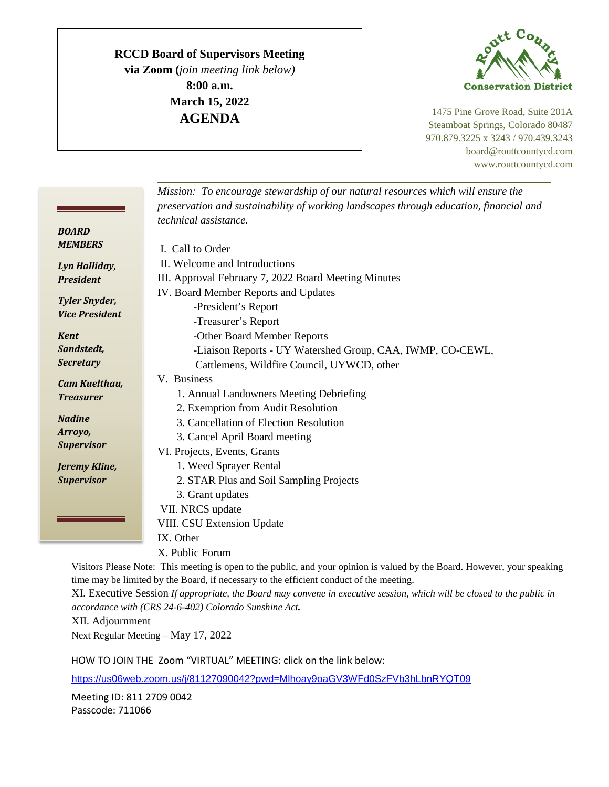## **RCCD Board of Supervisors Meeting**

**via Zoom (***join meeting link below)* **8:00 a.m. March 15, 2022 AGENDA**



1475 Pine Grove Road, Suite 201A Steamboat Springs, Colorado 80487 970.879.3225 x 3243 / 970.439.3243 board@routtcountycd.com www.routtcountycd.com

|                                                                                                                           | Mission: To encourage stewardship of our natural resources which will ensure the       |
|---------------------------------------------------------------------------------------------------------------------------|----------------------------------------------------------------------------------------|
|                                                                                                                           | preservation and sustainability of working landscapes through education, financial and |
|                                                                                                                           | technical assistance.                                                                  |
| <b>BOARD</b>                                                                                                              |                                                                                        |
| <b>MEMBERS</b>                                                                                                            | I. Call to Order                                                                       |
| Lyn Halliday,                                                                                                             | II. Welcome and Introductions                                                          |
| <b>President</b>                                                                                                          | III. Approval February 7, 2022 Board Meeting Minutes                                   |
|                                                                                                                           | IV. Board Member Reports and Updates                                                   |
| <b>Tyler Snyder,</b>                                                                                                      | -President's Report                                                                    |
| <b>Vice President</b>                                                                                                     | -Treasurer's Report                                                                    |
| <b>Kent</b>                                                                                                               | -Other Board Member Reports                                                            |
| Sandstedt,                                                                                                                | -Liaison Reports - UY Watershed Group, CAA, IWMP, CO-CEWL,                             |
| <b>Secretary</b>                                                                                                          | Cattlemens, Wildfire Council, UYWCD, other                                             |
| <b>Cam Kuelthau,</b>                                                                                                      | V. Business                                                                            |
| <b>Treasurer</b>                                                                                                          | 1. Annual Landowners Meeting Debriefing                                                |
|                                                                                                                           | 2. Exemption from Audit Resolution                                                     |
| <b>Nadine</b>                                                                                                             | 3. Cancellation of Election Resolution                                                 |
| Arroyo,                                                                                                                   | 3. Cancel April Board meeting                                                          |
| <b>Supervisor</b>                                                                                                         | VI. Projects, Events, Grants                                                           |
| Jeremy Kline,                                                                                                             | 1. Weed Sprayer Rental                                                                 |
| <b>Supervisor</b>                                                                                                         | 2. STAR Plus and Soil Sampling Projects                                                |
|                                                                                                                           | 3. Grant updates                                                                       |
|                                                                                                                           | VII. NRCS update                                                                       |
|                                                                                                                           | VIII. CSU Extension Update                                                             |
|                                                                                                                           | IX. Other                                                                              |
|                                                                                                                           | X. Public Forum                                                                        |
| Visitors Please Note: This meeting is open to the public, and your opinion is valued by the Board. However, your speaking |                                                                                        |

time may be limited by the Board, if necessary to the efficient conduct of the meeting.

XI. Executive Session *If appropriate, the Board may convene in executive session, which will be closed to the public in accordance with (CRS 24-6-402) Colorado Sunshine Act.*

XII. Adjournment

Next Regular Meeting – May 17, 2022

HOW TO JOIN THE Zoom "VIRTUAL" MEETING: click on the link below:

<https://us06web.zoom.us/j/81127090042?pwd=Mlhoay9oaGV3WFd0SzFVb3hLbnRYQT09>

Meeting ID: 811 2709 0042 Passcode: 711066